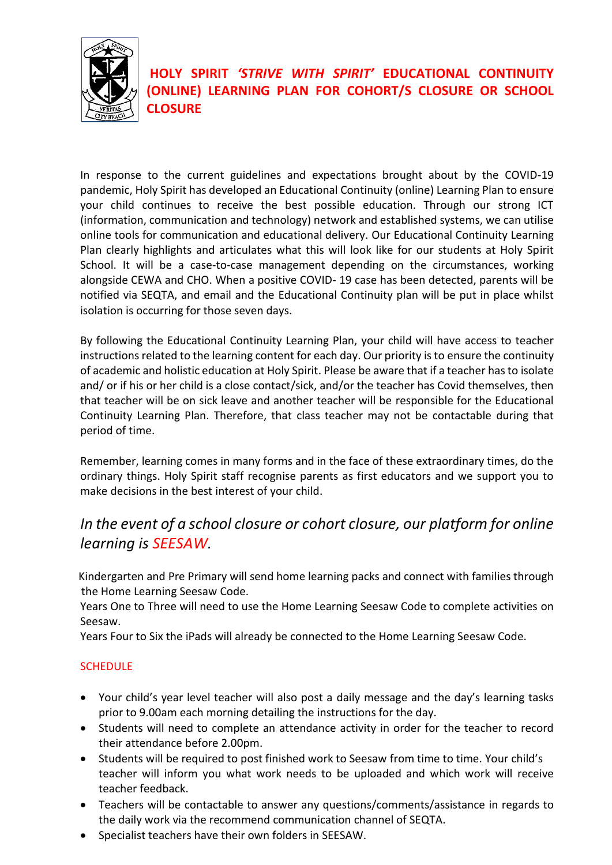

## **HOLY SPIRIT** *'STRIVE WITH SPIRIT'* **EDUCATIONAL CONTINUITY (ONLINE) LEARNING PLAN FOR COHORT/S CLOSURE OR SCHOOL CLOSURE**

In response to the current guidelines and expectations brought about by the COVID-19 pandemic, Holy Spirit has developed an Educational Continuity (online) Learning Plan to ensure your child continues to receive the best possible education. Through our strong ICT (information, communication and technology) network and established systems, we can utilise online tools for communication and educational delivery. Our Educational Continuity Learning Plan clearly highlights and articulates what this will look like for our students at Holy Spirit School. It will be a case-to-case management depending on the circumstances, working alongside CEWA and CHO. When a positive COVID- 19 case has been detected, parents will be notified via SEQTA, and email and the Educational Continuity plan will be put in place whilst isolation is occurring for those seven days.

By following the Educational Continuity Learning Plan, your child will have access to teacher instructions related to the learning content for each day. Our priority is to ensure the continuity of academic and holistic education at Holy Spirit. Please be aware that if a teacher has to isolate and/ or if his or her child is a close contact/sick, and/or the teacher has Covid themselves, then that teacher will be on sick leave and another teacher will be responsible for the Educational Continuity Learning Plan. Therefore, that class teacher may not be contactable during that period of time.

Remember, learning comes in many forms and in the face of these extraordinary times, do the ordinary things. Holy Spirit staff recognise parents as first educators and we support you to make decisions in the best interest of your child.

# *In the event of a school closure or cohort closure, our platform for online learning is SEESAW.*

 Kindergarten and Pre Primary will send home learning packs and connect with families through the Home Learning Seesaw Code.

Years One to Three will need to use the Home Learning Seesaw Code to complete activities on Seesaw.

Years Four to Six the iPads will already be connected to the Home Learning Seesaw Code.

### **SCHEDULE**

- Your child's year level teacher will also post a daily message and the day's learning tasks prior to 9.00am each morning detailing the instructions for the day.
- Students will need to complete an attendance activity in order for the teacher to record their attendance before 2.00pm.
- Students will be required to post finished work to Seesaw from time to time. Your child's teacher will inform you what work needs to be uploaded and which work will receive teacher feedback.
- Teachers will be contactable to answer any questions/comments/assistance in regards to the daily work via the recommend communication channel of SEQTA.
- Specialist teachers have their own folders in SEESAW.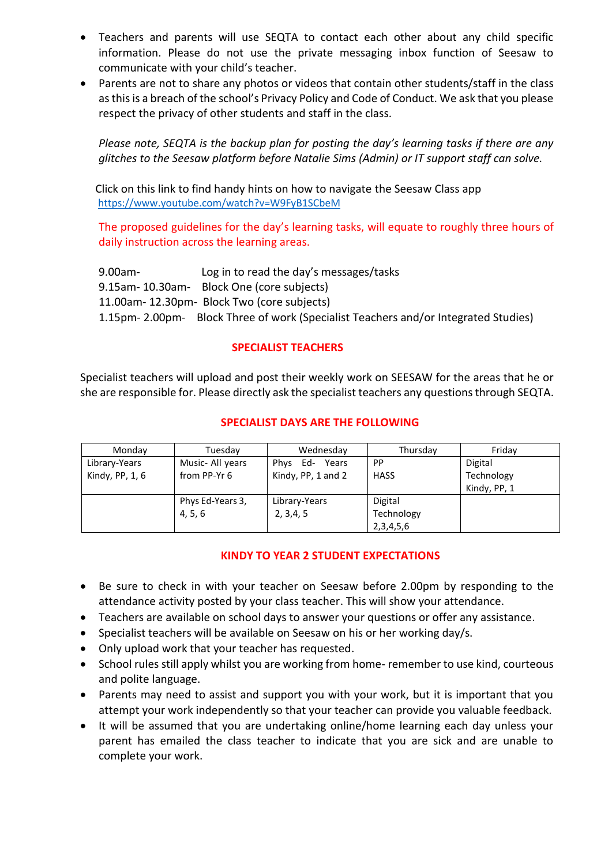- Teachers and parents will use SEQTA to contact each other about any child specific information. Please do not use the private messaging inbox function of Seesaw to communicate with your child's teacher.
- Parents are not to share any photos or videos that contain other students/staff in the class as this is a breach of the school's Privacy Policy and Code of Conduct. We ask that you please respect the privacy of other students and staff in the class.

*Please note, SEQTA is the backup plan for posting the day's learning tasks if there are any glitches to the Seesaw platform before Natalie Sims (Admin) or IT support staff can solve.*

 Click on this link to find handy hints on how to navigate the Seesaw Class app <https://www.youtube.com/watch?v=W9FyB1SCbeM>

The proposed guidelines for the day's learning tasks, will equate to roughly three hours of daily instruction across the learning areas.

9.00am- Log in to read the day's messages/tasks 9.15am- 10.30am- Block One (core subjects) 11.00am- 12.30pm- Block Two (core subjects) 1.15pm- 2.00pm- Block Three of work (Specialist Teachers and/or Integrated Studies)

#### **SPECIALIST TEACHERS**

Specialist teachers will upload and post their weekly work on SEESAW for the areas that he or she are responsible for. Please directly ask the specialist teachers any questions through SEQTA.

#### **SPECIALIST DAYS ARE THE FOLLOWING**

| Monday          | Tuesdav          | Wednesday          | Thursday    | Fridav       |
|-----------------|------------------|--------------------|-------------|--------------|
| Library-Years   | Music- All years | Phys Ed-<br>Years  | PP          | Digital      |
| Kindy, PP, 1, 6 | from PP-Yr 6     | Kindy, PP, 1 and 2 | <b>HASS</b> | Technology   |
|                 |                  |                    |             | Kindy, PP, 1 |
|                 | Phys Ed-Years 3, | Library-Years      | Digital     |              |
|                 | 4, 5, 6          | 2, 3, 4, 5         | Technology  |              |
|                 |                  |                    | 2,3,4,5,6   |              |

#### **KINDY TO YEAR 2 STUDENT EXPECTATIONS**

- Be sure to check in with your teacher on Seesaw before 2.00pm by responding to the attendance activity posted by your class teacher. This will show your attendance.
- Teachers are available on school days to answer your questions or offer any assistance.
- Specialist teachers will be available on Seesaw on his or her working day/s.
- Only upload work that your teacher has requested.
- School rules still apply whilst you are working from home- remember to use kind, courteous and polite language.
- Parents may need to assist and support you with your work, but it is important that you attempt your work independently so that your teacher can provide you valuable feedback.
- It will be assumed that you are undertaking online/home learning each day unless your parent has emailed the class teacher to indicate that you are sick and are unable to complete your work.